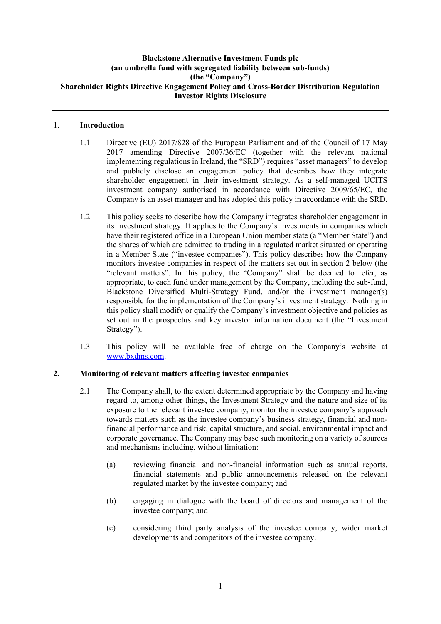## **Blackstone Alternative Investment Funds plc (an umbrella fund with segregated liability between sub-funds) (the "Company") Shareholder Rights Directive Engagement Policy and Cross-Border Distribution Regulation Investor Rights Disclosure**

### 1. **Introduction**

- 1.1 Directive (EU) 2017/828 of the European Parliament and of the Council of 17 May 2017 amending Directive 2007/36/EC (together with the relevant national implementing regulations in Ireland, the "SRD") requires "asset managers" to develop and publicly disclose an engagement policy that describes how they integrate shareholder engagement in their investment strategy. As a self-managed UCITS investment company authorised in accordance with Directive 2009/65/EC, the Company is an asset manager and has adopted this policy in accordance with the SRD.
- 1.2 This policy seeks to describe how the Company integrates shareholder engagement in its investment strategy. It applies to the Company's investments in companies which have their registered office in a European Union member state (a "Member State") and the shares of which are admitted to trading in a regulated market situated or operating in a Member State ("investee companies"). This policy describes how the Company monitors investee companies in respect of the matters set out in section 2 below (the "relevant matters". In this policy, the "Company" shall be deemed to refer, as appropriate, to each fund under management by the Company, including the sub-fund, Blackstone Diversified Multi-Strategy Fund, and/or the investment manager(s) responsible for the implementation of the Company's investment strategy. Nothing in this policy shall modify or qualify the Company's investment objective and policies as set out in the prospectus and key investor information document (the "Investment Strategy").
- 1.3 This policy will be available free of charge on the Company's website at [www.bxdms.com.](http://www.bxdms.com/)

# **2. Monitoring of relevant matters affecting investee companies**

- 2.1 The Company shall, to the extent determined appropriate by the Company and having regard to, among other things, the Investment Strategy and the nature and size of its exposure to the relevant investee company, monitor the investee company's approach towards matters such as the investee company's business strategy, financial and nonfinancial performance and risk, capital structure, and social, environmental impact and corporate governance. The Company may base such monitoring on a variety of sources and mechanisms including, without limitation:
	- (a) reviewing financial and non-financial information such as annual reports, financial statements and public announcements released on the relevant regulated market by the investee company; and
	- (b) engaging in dialogue with the board of directors and management of the investee company; and
	- (c) considering third party analysis of the investee company, wider market developments and competitors of the investee company.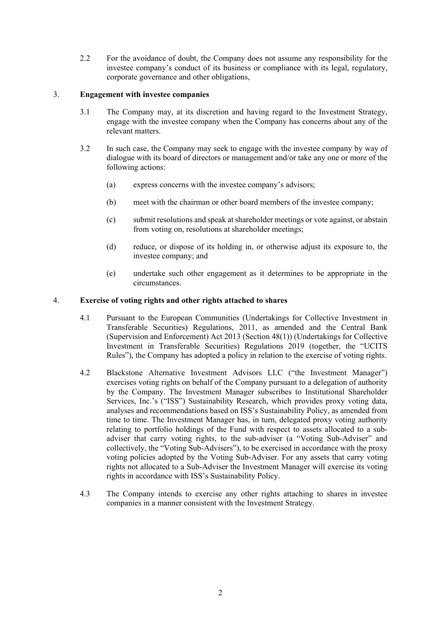2.2 For the avoidance of doubt, the Company does not assume any responsibility for the investee company's conduct of its business or compliance with its legal, regulatory, corporate governance and other obligations,

### 3. **Engagement with investee companies**

- 3.1 The Company may, at its discretion and having regard to the Investment Strategy, engage with the investee company when the Company has concerns about any of the relevant matters.
- 3.2 In such case, the Company may seek to engage with the investee company by way of dialogue with its board of directors or management and/or take any one or more of the following actions:
	- (a) express concerns with the investee company's advisors;
	- (b) meet with the chairman or other board members of the investee company;
	- (c) submit resolutions and speak at shareholder meetings or vote against, or abstain from voting on, resolutions at shareholder meetings;
	- (d) reduce, or dispose of its holding in, or otherwise adjust its exposure to, the investee company; and
	- (e) undertake such other engagement as it determines to be appropriate in the circumstances.

#### 4. **Exercise of voting rights and other rights attached to shares**

- 4.1 Pursuant to the European Communities (Undertakings for Collective Investment in Transferable Securities) Regulations, 2011, as amended and the Central Bank (Supervision and Enforcement) Act 2013 (Section 48(1)) (Undertakings for Collective Investment in Transferable Securities) Regulations 2019 (together, the "UCITS Rules"), the Company has adopted a policy in relation to the exercise of voting rights.
- 4.2 Blackstone Alternative Investment Advisors LLC ("the Investment Manager") exercises voting rights on behalf of the Company pursuant to a delegation of authority by the Company. The Investment Manager subscribes to Institutional Shareholder Services, Inc.'s ("ISS") Sustainability Research, which provides proxy voting data, analyses and recommendations based on ISS's Sustainability Policy, as amended from time to time. The Investment Manager has, in turn, delegated proxy voting authority relating to portfolio holdings of the Fund with respect to assets allocated to a subadviser that carry voting rights, to the sub-adviser (a "Voting Sub-Adviser" and collectively, the "Voting Sub-Advisers"), to be exercised in accordance with the proxy voting policies adopted by the Voting Sub-Adviser. For any assets that carry voting rights not allocated to a Sub-Adviser the Investment Manager will exercise its voting rights in accordance with ISS's Sustainability Policy.
- 4.3 The Company intends to exercise any other rights attaching to shares in investee companies in a manner consistent with the Investment Strategy.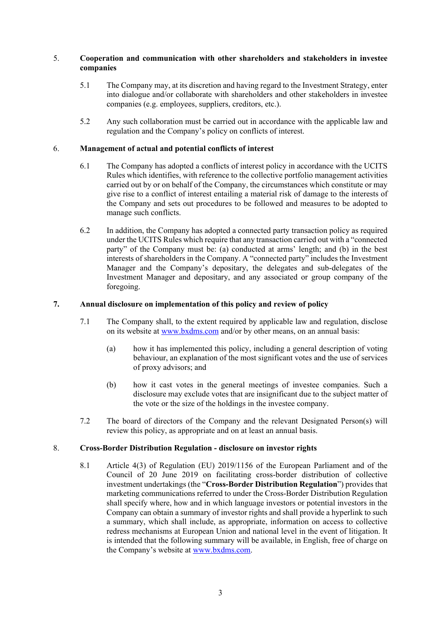## 5. **Cooperation and communication with other shareholders and stakeholders in investee companies**

- 5.1 The Company may, at its discretion and having regard to the Investment Strategy, enter into dialogue and/or collaborate with shareholders and other stakeholders in investee companies (e.g. employees, suppliers, creditors, etc.).
- 5.2 Any such collaboration must be carried out in accordance with the applicable law and regulation and the Company's policy on conflicts of interest.

### 6. **Management of actual and potential conflicts of interest**

- 6.1 The Company has adopted a conflicts of interest policy in accordance with the UCITS Rules which identifies, with reference to the collective portfolio management activities carried out by or on behalf of the Company, the circumstances which constitute or may give rise to a conflict of interest entailing a material risk of damage to the interests of the Company and sets out procedures to be followed and measures to be adopted to manage such conflicts.
- 6.2 In addition, the Company has adopted a connected party transaction policy as required under the UCITS Rules which require that any transaction carried out with a "connected party" of the Company must be: (a) conducted at arms' length; and (b) in the best interests of shareholders in the Company. A "connected party" includes the Investment Manager and the Company's depositary, the delegates and sub-delegates of the Investment Manager and depositary, and any associated or group company of the foregoing.

## **7. Annual disclosure on implementation of this policy and review of policy**

- 7.1 The Company shall, to the extent required by applicable law and regulation, disclose on its website at [www.bxdms.com](http://www.bxdms.com/) and/or by other means, on an annual basis:
	- (a) how it has implemented this policy, including a general description of voting behaviour, an explanation of the most significant votes and the use of services of proxy advisors; and
	- (b) how it cast votes in the general meetings of investee companies. Such a disclosure may exclude votes that are insignificant due to the subject matter of the vote or the size of the holdings in the investee company.
- 7.2 The board of directors of the Company and the relevant Designated Person(s) will review this policy, as appropriate and on at least an annual basis.

#### 8. **Cross-Border Distribution Regulation - disclosure on investor rights**

8.1 Article 4(3) of Regulation (EU) 2019/1156 of the European Parliament and of the Council of 20 June 2019 on facilitating cross-border distribution of collective investment undertakings (the "**Cross-Border Distribution Regulation**") provides that marketing communications referred to under the Cross-Border Distribution Regulation shall specify where, how and in which language investors or potential investors in the Company can obtain a summary of investor rights and shall provide a hyperlink to such a summary, which shall include, as appropriate, information on access to collective redress mechanisms at European Union and national level in the event of litigation. It is intended that the following summary will be available, in English, free of charge on the Company's website at [www.bxdms.com.](http://www.bxdms.com/)